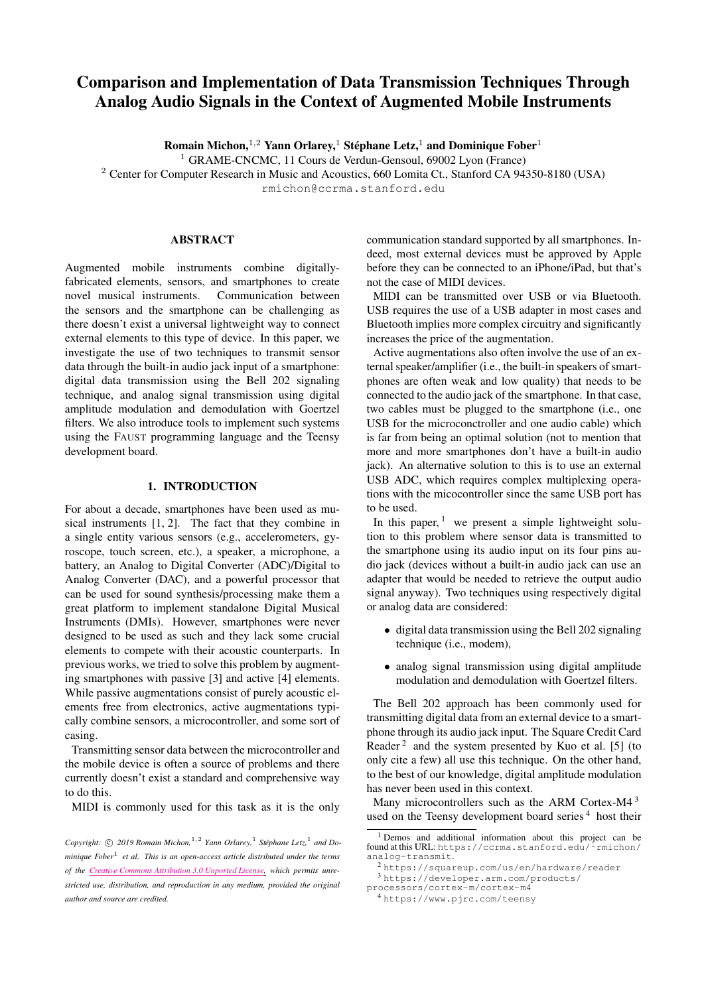# Comparison and Implementation of Data Transmission Techniques Through Analog Audio Signals in the Context of Augmented Mobile Instruments

Romain Michon,  $1,2$  Yann Orlarey,  $1$  Stéphane Letz,  $1$  and Dominique Fober $1$ 

<sup>1</sup> GRAME-CNCMC, 11 Cours de Verdun-Gensoul, 69002 Lyon (France)

<sup>2</sup> Center for Computer Research in Music and Acoustics, 660 Lomita Ct., Stanford CA 94350-8180 (USA)

[rmichon@ccrma.stanford.edu](mailto:rmichon@ccrma.stanford.edu)

# ABSTRACT

Augmented mobile instruments combine digitallyfabricated elements, sensors, and smartphones to create novel musical instruments. Communication between the sensors and the smartphone can be challenging as there doesn't exist a universal lightweight way to connect external elements to this type of device. In this paper, we investigate the use of two techniques to transmit sensor data through the built-in audio jack input of a smartphone: digital data transmission using the Bell 202 signaling technique, and analog signal transmission using digital amplitude modulation and demodulation with Goertzel filters. We also introduce tools to implement such systems using the FAUST programming language and the Teensy development board.

## 1. INTRODUCTION

For about a decade, smartphones have been used as musical instruments [\[1,](#page-4-0) [2\]](#page-4-1). The fact that they combine in a single entity various sensors (e.g., accelerometers, gyroscope, touch screen, etc.), a speaker, a microphone, a battery, an Analog to Digital Converter (ADC)/Digital to Analog Converter (DAC), and a powerful processor that can be used for sound synthesis/processing make them a great platform to implement standalone Digital Musical Instruments (DMIs). However, smartphones were never designed to be used as such and they lack some crucial elements to compete with their acoustic counterparts. In previous works, we tried to solve this problem by augmenting smartphones with passive [\[3\]](#page-4-2) and active [\[4\]](#page-4-3) elements. While passive augmentations consist of purely acoustic elements free from electronics, active augmentations typically combine sensors, a microcontroller, and some sort of casing.

Transmitting sensor data between the microcontroller and the mobile device is often a source of problems and there currently doesn't exist a standard and comprehensive way to do this.

MIDI is commonly used for this task as it is the only

communication standard supported by all smartphones. Indeed, most external devices must be approved by Apple before they can be connected to an iPhone/iPad, but that's not the case of MIDI devices.

MIDI can be transmitted over USB or via Bluetooth. USB requires the use of a USB adapter in most cases and Bluetooth implies more complex circuitry and significantly increases the price of the augmentation.

Active augmentations also often involve the use of an external speaker/amplifier (i.e., the built-in speakers of smartphones are often weak and low quality) that needs to be connected to the audio jack of the smartphone. In that case, two cables must be plugged to the smartphone (i.e., one USB for the microconctroller and one audio cable) which is far from being an optimal solution (not to mention that more and more smartphones don't have a built-in audio jack). An alternative solution to this is to use an external USB ADC, which requires complex multiplexing operations with the micocontroller since the same USB port has to be used.

In this paper,  $\frac{1}{1}$  $\frac{1}{1}$  $\frac{1}{1}$  we present a simple lightweight solution to this problem where sensor data is transmitted to the smartphone using its audio input on its four pins audio jack (devices without a built-in audio jack can use an adapter that would be needed to retrieve the output audio signal anyway). Two techniques using respectively digital or analog data are considered:

- digital data transmission using the Bell 202 signaling technique (i.e., modem),
- analog signal transmission using digital amplitude modulation and demodulation with Goertzel filters.

The Bell 202 approach has been commonly used for transmitting digital data from an external device to a smartphone through its audio jack input. The Square Credit Card Reader<sup>[2](#page-0-1)</sup> and the system presented by Kuo et al. [\[5\]](#page-4-4) (to only cite a few) all use this technique. On the other hand, to the best of our knowledge, digital amplitude modulation has never been used in this context.

Many microcontrollers such as the ARM Cortex-M4<sup>[3](#page-0-2)</sup> used on the Teensy development board series<sup>[4](#page-0-3)</sup> host their

Copyright:  $\odot$  2019 Romain Michon,<sup>1,2</sup> Yann Orlarey,<sup>1</sup> Stéphane Letz,<sup>1</sup> and Do*minique Fober*<sup>1</sup> *et al. This is an open-access article distributed under the terms of the Creative Commons [Attribution](http://creativecommons.org/licenses/by/3.0/) 3.0 Unported License, which permits unrestricted use, distribution, and reproduction in any medium, provided the original author and source are credited.*

<span id="page-0-0"></span><sup>&</sup>lt;sup>1</sup> Demos and additional information about this project can be found at this URL: [https://ccrma.stanford.edu/˜rmichon/](https://ccrma.stanford.edu/~rmichon/analog-transmit) [analog-transmit](https://ccrma.stanford.edu/~rmichon/analog-transmit).

<span id="page-0-2"></span><span id="page-0-1"></span><sup>2</sup> <https://squareup.com/us/en/hardware/reader>

<sup>3</sup> [https://developer.arm.com/products/](https://developer.arm.com/products/processors/cortex-m/cortex-m4) [processors/cortex-m/cortex-m4](https://developer.arm.com/products/processors/cortex-m/cortex-m4)

<span id="page-0-3"></span><sup>4</sup> <https://www.pjrc.com/teensy>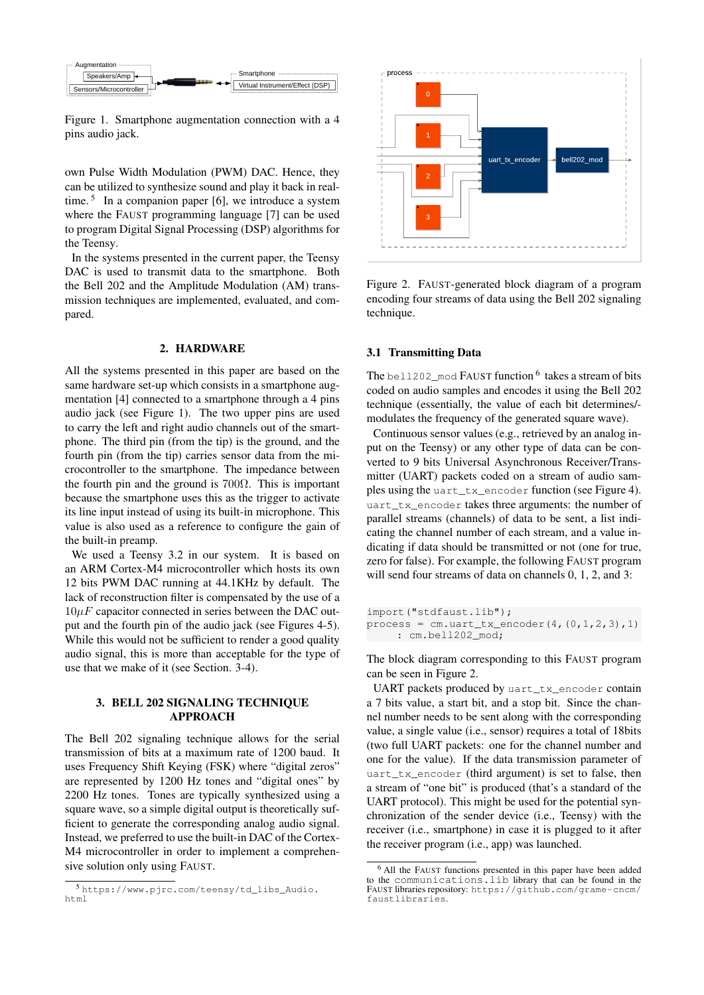<span id="page-1-1"></span>

Figure 1. Smartphone augmentation connection with a 4 pins audio jack.

own Pulse Width Modulation (PWM) DAC. Hence, they can be utilized to synthesize sound and play it back in real-time.<sup>[5](#page-1-0)</sup> In a companion paper [\[6\]](#page-4-5), we introduce a system where the FAUST programming language [\[7\]](#page-4-6) can be used to program Digital Signal Processing (DSP) algorithms for the Teensy.

In the systems presented in the current paper, the Teensy DAC is used to transmit data to the smartphone. Both the Bell 202 and the Amplitude Modulation (AM) transmission techniques are implemented, evaluated, and compared.

### 2. HARDWARE

All the systems presented in this paper are based on the same hardware set-up which consists in a smartphone augmentation [\[4\]](#page-4-3) connected to a smartphone through a 4 pins audio jack (see Figure [1\)](#page-1-1). The two upper pins are used to carry the left and right audio channels out of the smartphone. The third pin (from the tip) is the ground, and the fourth pin (from the tip) carries sensor data from the microcontroller to the smartphone. The impedance between the fourth pin and the ground is  $700\Omega$ . This is important because the smartphone uses this as the trigger to activate its line input instead of using its built-in microphone. This value is also used as a reference to configure the gain of the built-in preamp.

We used a Teensy 3.2 in our system. It is based on an ARM Cortex-M4 microcontroller which hosts its own 12 bits PWM DAC running at 44.1KHz by default. The lack of reconstruction filter is compensated by the use of a  $10\mu$ F capacitor connected in series between the DAC output and the fourth pin of the audio jack (see Figures [4-](#page-2-0)[5\)](#page-3-0). While this would not be sufficient to render a good quality audio signal, this is more than acceptable for the type of use that we make of it (see Section. [3](#page-1-2)[-4\)](#page-2-1).

## <span id="page-1-2"></span>3. BELL 202 SIGNALING TECHNIQUE APPROACH

The Bell 202 signaling technique allows for the serial transmission of bits at a maximum rate of 1200 baud. It uses Frequency Shift Keying (FSK) where "digital zeros" are represented by 1200 Hz tones and "digital ones" by 2200 Hz tones. Tones are typically synthesized using a square wave, so a simple digital output is theoretically sufficient to generate the corresponding analog audio signal. Instead, we preferred to use the built-in DAC of the Cortex-M4 microcontroller in order to implement a comprehensive solution only using FAUST.

<span id="page-1-4"></span>

Figure 2. FAUST-generated block diagram of a program encoding four streams of data using the Bell 202 signaling technique.

#### <span id="page-1-5"></span>3.1 Transmitting Data

The bell202\_mod FAUST function  $^6$  $^6$  takes a stream of bits coded on audio samples and encodes it using the Bell 202 technique (essentially, the value of each bit determines/ modulates the frequency of the generated square wave).

Continuous sensor values (e.g., retrieved by an analog input on the Teensy) or any other type of data can be converted to 9 bits Universal Asynchronous Receiver/Transmitter (UART) packets coded on a stream of audio samples using the uart\_tx\_encoder function (see Figure [4\)](#page-2-0). uart\_tx\_encoder takes three arguments: the number of parallel streams (channels) of data to be sent, a list indicating the channel number of each stream, and a value indicating if data should be transmitted or not (one for true, zero for false). For example, the following FAUST program will send four streams of data on channels 0, 1, 2, and 3:

```
import("stdfaust.lib");
process = cm uart_{tx\_encoder(4, (0, 1, 2, 3), 1)}: cm.bell202_mod;
```
The block diagram corresponding to this FAUST program can be seen in Figure [2.](#page-1-4)

UART packets produced by uart\_tx\_encoder contain a 7 bits value, a start bit, and a stop bit. Since the channel number needs to be sent along with the corresponding value, a single value (i.e., sensor) requires a total of 18bits (two full UART packets: one for the channel number and one for the value). If the data transmission parameter of uart\_tx\_encoder (third argument) is set to false, then a stream of "one bit" is produced (that's a standard of the UART protocol). This might be used for the potential synchronization of the sender device (i.e., Teensy) with the receiver (i.e., smartphone) in case it is plugged to it after the receiver program (i.e., app) was launched.

<span id="page-1-0"></span><sup>5</sup> [https://www.pjrc.com/teensy/td\\_libs\\_Audio.](https://www.pjrc.com/teensy/td_libs_Audio.html) [html](https://www.pjrc.com/teensy/td_libs_Audio.html)

<span id="page-1-3"></span><sup>6</sup> All the FAUST functions presented in this paper have been added to the communications.lib library that can be found in the FAUST libraries repository: [https://github.com/grame-cncm/](https://github.com/grame-cncm/faustlibraries) [faustlibraries](https://github.com/grame-cncm/faustlibraries).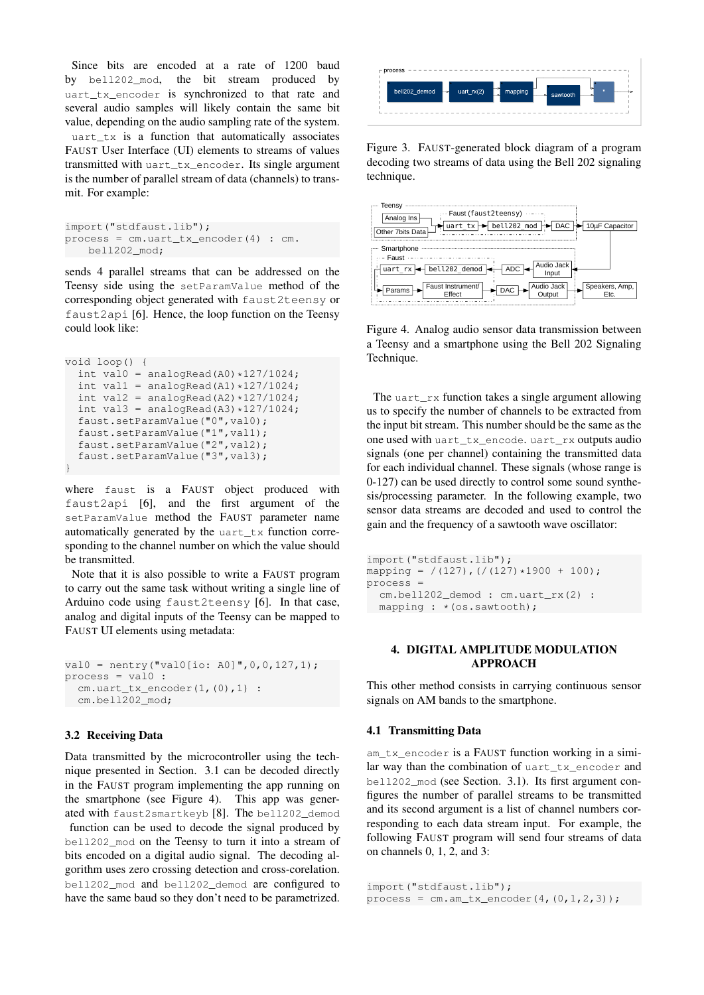Since bits are encoded at a rate of 1200 baud by bell202 mod, the bit stream produced by uart\_tx\_encoder is synchronized to that rate and several audio samples will likely contain the same bit value, depending on the audio sampling rate of the system. uart\_tx is a function that automatically associates FAUST User Interface (UI) elements to streams of values transmitted with uart\_tx\_encoder. Its single argument is the number of parallel stream of data (channels) to transmit. For example:

```
import("stdfaust.lib");
process = cm.uart_tx_encoder(4) : cm.
   bell202_mod;
```
sends 4 parallel streams that can be addressed on the Teensy side using the setParamValue method of the corresponding object generated with faust2teensy or faust2api [\[6\]](#page-4-5). Hence, the loop function on the Teensy could look like:

```
void loop() {
  int val0 = analogRead(A0) *127/1024;
  int val1 = analogRead(A1) *127/1024;
  int val2 = analogRead(A2) *127/1024;
 int val3 = analogRead(A3) *127/1024;
  faust.setParamValue("0",val0);
  faust.setParamValue("1",val1);
  faust.setParamValue("2",val2);
  faust.setParamValue("3",val3);
}
```
where faust is a FAUST object produced with faust2api [\[6\]](#page-4-5), and the first argument of the setParamValue method the FAUST parameter name automatically generated by the uart\_tx function corresponding to the channel number on which the value should be transmitted.

Note that it is also possible to write a FAUST program to carry out the same task without writing a single line of Arduino code using faust2teensy [\[6\]](#page-4-5). In that case, analog and digital inputs of the Teensy can be mapped to FAUST UI elements using metadata:

```
val0 = nentry("val0[io: A0]", 0, 0, 127, 1);
process = val0:
  cm.uart_tx_encoder(1,(0),1) :
 cm.bell202_mod;
```
#### 3.2 Receiving Data

Data transmitted by the microcontroller using the technique presented in Section. [3.1](#page-1-5) can be decoded directly in the FAUST program implementing the app running on the smartphone (see Figure [4\)](#page-2-0). This app was generated with faust2smartkeyb [\[8\]](#page-4-7). The bell202\_demod function can be used to decode the signal produced by bell202\_mod on the Teensy to turn it into a stream of bits encoded on a digital audio signal. The decoding algorithm uses zero crossing detection and cross-corelation. bell202\_mod and bell202\_demod are configured to have the same baud so they don't need to be parametrized.



Figure 3. FAUST-generated block diagram of a program decoding two streams of data using the Bell 202 signaling technique.

<span id="page-2-0"></span>

Figure 4. Analog audio sensor data transmission between a Teensy and a smartphone using the Bell 202 Signaling Technique.

The uart\_rx function takes a single argument allowing us to specify the number of channels to be extracted from the input bit stream. This number should be the same as the one used with uart\_tx\_encode. uart\_rx outputs audio signals (one per channel) containing the transmitted data for each individual channel. These signals (whose range is 0-127) can be used directly to control some sound synthesis/processing parameter. In the following example, two sensor data streams are decoded and used to control the gain and the frequency of a sawtooth wave oscillator:

```
import("stdfaust.lib");
mapping = /(127), )/(127)*1900 + 100;
process =
 cm.bell202_demod : cm.uart_rx(2) :
 mapping : * (os.sawtooth);
```
## <span id="page-2-1"></span>4. DIGITAL AMPLITUDE MODULATION APPROACH

This other method consists in carrying continuous sensor signals on AM bands to the smartphone.

## 4.1 Transmitting Data

am\_tx\_encoder is a FAUST function working in a similar way than the combination of uart\_tx\_encoder and bell202\_mod (see Section. [3.1\)](#page-1-5). Its first argument configures the number of parallel streams to be transmitted and its second argument is a list of channel numbers corresponding to each data stream input. For example, the following FAUST program will send four streams of data on channels 0, 1, 2, and 3:

```
import("stdfaust.lib");
process = cm . am_t x_encoder(4, (0, 1, 2, 3));
```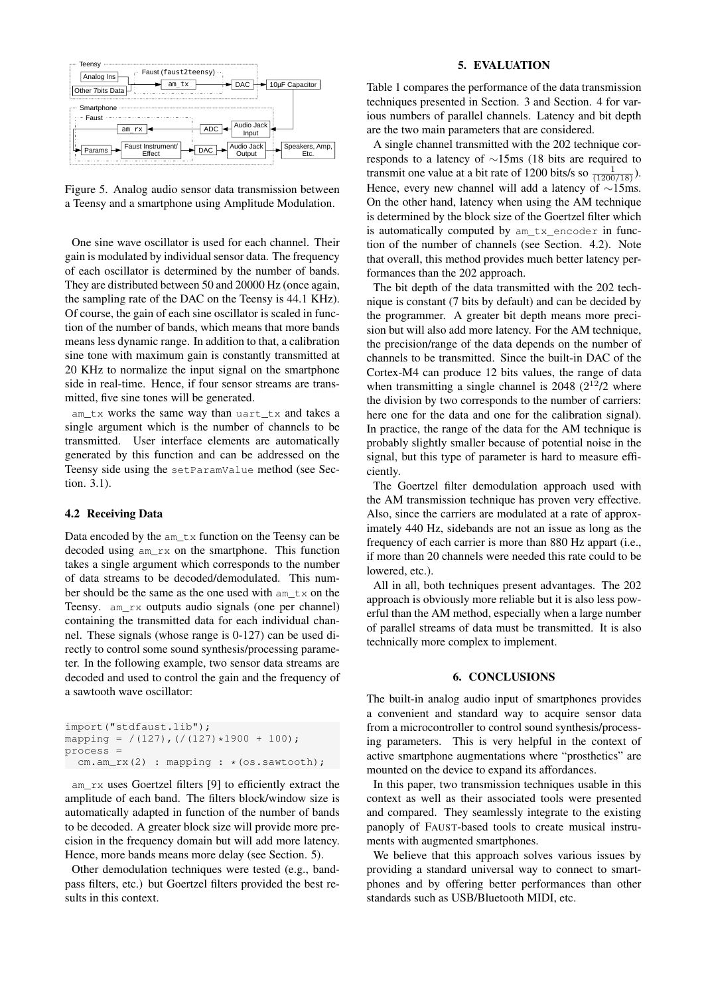<span id="page-3-0"></span>

Figure 5. Analog audio sensor data transmission between a Teensy and a smartphone using Amplitude Modulation.

One sine wave oscillator is used for each channel. Their gain is modulated by individual sensor data. The frequency of each oscillator is determined by the number of bands. They are distributed between 50 and 20000 Hz (once again, the sampling rate of the DAC on the Teensy is 44.1 KHz). Of course, the gain of each sine oscillator is scaled in function of the number of bands, which means that more bands means less dynamic range. In addition to that, a calibration sine tone with maximum gain is constantly transmitted at 20 KHz to normalize the input signal on the smartphone side in real-time. Hence, if four sensor streams are transmitted, five sine tones will be generated.

am\_tx works the same way than uart\_tx and takes a single argument which is the number of channels to be transmitted. User interface elements are automatically generated by this function and can be addressed on the Teensy side using the setParamValue method (see Section. [3.1\)](#page-1-5).

### <span id="page-3-2"></span>4.2 Receiving Data

Data encoded by the am\_tx function on the Teensy can be decoded using am\_rx on the smartphone. This function takes a single argument which corresponds to the number of data streams to be decoded/demodulated. This number should be the same as the one used with am\_tx on the Teensy. am\_rx outputs audio signals (one per channel) containing the transmitted data for each individual channel. These signals (whose range is 0-127) can be used directly to control some sound synthesis/processing parameter. In the following example, two sensor data streams are decoded and used to control the gain and the frequency of a sawtooth wave oscillator:

```
import("stdfaust.lib");
mapping = /(127), )/(127)*1900 + 100;
process =
cm.am_rx(2) : mapping : * (os.sawtooth);
```
am\_rx uses Goertzel filters [\[9\]](#page-4-8) to efficiently extract the amplitude of each band. The filters block/window size is automatically adapted in function of the number of bands to be decoded. A greater block size will provide more precision in the frequency domain but will add more latency. Hence, more bands means more delay (see Section. [5\)](#page-3-1).

Other demodulation techniques were tested (e.g., bandpass filters, etc.) but Goertzel filters provided the best results in this context.

### 5. EVALUATION

<span id="page-3-1"></span>Table [1](#page-4-9) compares the performance of the data transmission techniques presented in Section. [3](#page-1-2) and Section. [4](#page-2-1) for various numbers of parallel channels. Latency and bit depth are the two main parameters that are considered.

A single channel transmitted with the 202 technique corresponds to a latency of ∼15ms (18 bits are required to transmit one value at a bit rate of 1200 bits/s so  $\frac{1}{(1200/18)}$ . Hence, every new channel will add a latency of ∼15ms. On the other hand, latency when using the AM technique is determined by the block size of the Goertzel filter which is automatically computed by am\_tx\_encoder in function of the number of channels (see Section. [4.2\)](#page-3-2). Note that overall, this method provides much better latency performances than the 202 approach.

The bit depth of the data transmitted with the 202 technique is constant (7 bits by default) and can be decided by the programmer. A greater bit depth means more precision but will also add more latency. For the AM technique, the precision/range of the data depends on the number of channels to be transmitted. Since the built-in DAC of the Cortex-M4 can produce 12 bits values, the range of data when transmitting a single channel is 2048  $(2^{12}/2)$  where the division by two corresponds to the number of carriers: here one for the data and one for the calibration signal). In practice, the range of the data for the AM technique is probably slightly smaller because of potential noise in the signal, but this type of parameter is hard to measure efficiently.

The Goertzel filter demodulation approach used with the AM transmission technique has proven very effective. Also, since the carriers are modulated at a rate of approximately 440 Hz, sidebands are not an issue as long as the frequency of each carrier is more than 880 Hz appart (i.e., if more than 20 channels were needed this rate could to be lowered, etc.).

All in all, both techniques present advantages. The 202 approach is obviously more reliable but it is also less powerful than the AM method, especially when a large number of parallel streams of data must be transmitted. It is also technically more complex to implement.

## 6. CONCLUSIONS

The built-in analog audio input of smartphones provides a convenient and standard way to acquire sensor data from a microcontroller to control sound synthesis/processing parameters. This is very helpful in the context of active smartphone augmentations where "prosthetics" are mounted on the device to expand its affordances.

In this paper, two transmission techniques usable in this context as well as their associated tools were presented and compared. They seamlessly integrate to the existing panoply of FAUST-based tools to create musical instruments with augmented smartphones.

We believe that this approach solves various issues by providing a standard universal way to connect to smartphones and by offering better performances than other standards such as USB/Bluetooth MIDI, etc.